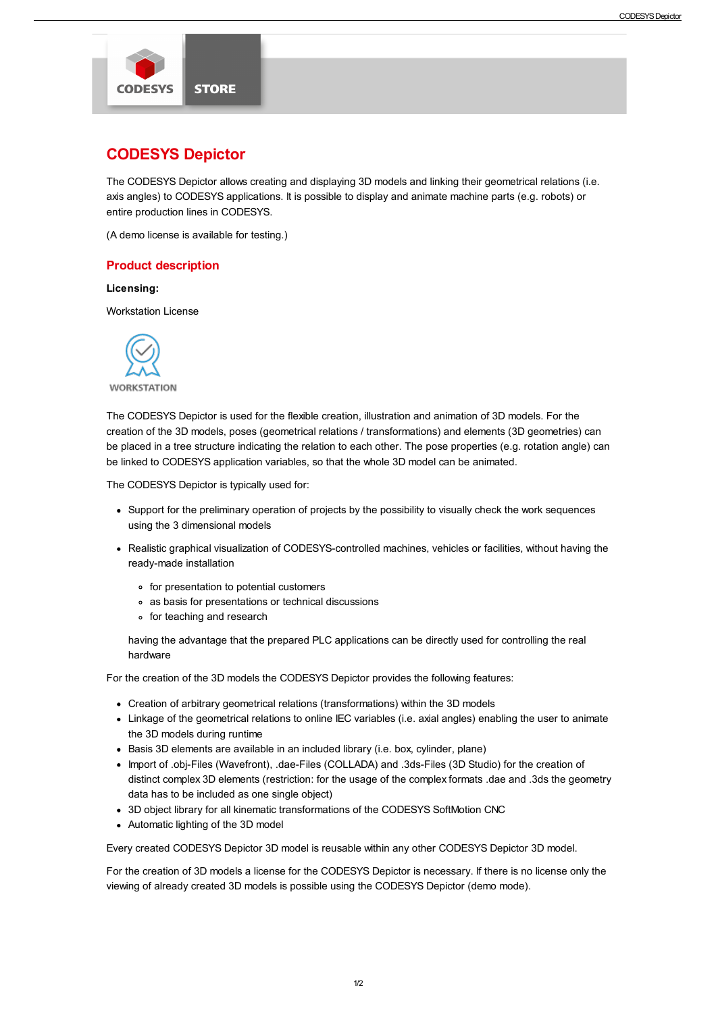

# CODESYS Depictor

The CODESYS Depictor allows creating and displaying 3D models and linking their geometrical relations (i.e. axis angles) to CODESYS applications. It is possible to display and animate machine parts (e.g. robots) or entire production lines in CODESYS.

(A demo license is available for testing.)

## Product description

## Licensing:

Workstation License



**WORKSTATION** 

The CODESYS Depictor is used for the flexible creation, illustration and animation of 3D models. For the creation of the 3D models, poses (geometrical relations / transformations) and elements (3D geometries) can be placed in a tree structure indicating the relation to each other. The pose properties (e.g. rotation angle) can be linked to CODESYS application variables, so that the whole 3D model can be animated.

The CODESYS Depictor is typically used for:

- Support for the preliminary operation of projects by the possibility to visually check the work sequences using the 3 dimensional models
- Realistic graphical visualization of CODESYS-controlled machines, vehicles or facilities, without having the ready-made installation
	- for presentation to potential customers
	- as basis for presentations or technical discussions
	- o for teaching and research

having the advantage that the prepared PLC applications can be directly used for controlling the real hardware

For the creation of the 3D models the CODESYS Depictor provides the following features:

- Creation of arbitrary geometrical relations (transformations) within the 3D models
- Linkage of the geometrical relations to online IEC variables (i.e. axial angles) enabling the user to animate the 3D models during runtime
- Basis 3D elements are available in an included library (i.e. box, cylinder, plane)
- Import of .obj-Files (Wavefront), .dae-Files (COLLADA) and .3ds-Files (3D Studio) for the creation of distinct complex 3D elements (restriction: for the usage of the complex formats .dae and .3ds the geometry data has to be included as one single object)
- 3D object library for all kinematic transformations of the CODESYS SoftMotion CNC
- Automatic lighting of the 3D model

Every created CODESYS Depictor 3D model is reusable within any other CODESYS Depictor 3D model.

For the creation of 3D models a license for the CODESYS Depictor is necessary. If there is no license only the viewing of already created 3D models is possible using the CODESYS Depictor (demo mode).